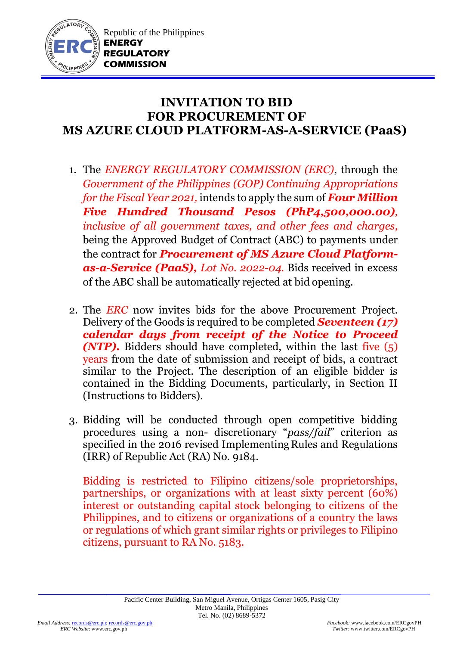

## **INVITATION TO BID FOR PROCUREMENT OF MS AZURE CLOUD PLATFORM-AS-A-SERVICE (PaaS)**

- 1. The *ENERGY REGULATORY COMMISSION (ERC)*, through the *Government of the Philippines (GOP) Continuing Appropriations for the Fiscal Year 2021,* intends to apply the sum of *Four Million Five Hundred Thousand Pesos (PhP4,500,000.00), inclusive of all government taxes, and other fees and charges,* being the Approved Budget of Contract (ABC) to payments under the contract for *Procurement of MS Azure Cloud Platformas-a-Service (PaaS), Lot No. 2022-04.* Bids received in excess of the ABC shall be automatically rejected at bid opening.
- 2. The *ERC* now invites bids for the above Procurement Project. Delivery of the Goods is required to be completed *Seventeen (17) calendar days from receipt of the Notice to Proceed (NTP).* Bidders should have completed, within the last five (5) years from the date of submission and receipt of bids, a contract similar to the Project. The description of an eligible bidder is contained in the Bidding Documents, particularly, in Section II (Instructions to Bidders).
- 3. Bidding will be conducted through open competitive bidding procedures using a non- discretionary "*pass/fail*" criterion as specified in the 2016 revised Implementing Rules and Regulations (IRR) of Republic Act (RA) No. 9184.

Bidding is restricted to Filipino citizens/sole proprietorships, partnerships, or organizations with at least sixty percent (60%) interest or outstanding capital stock belonging to citizens of the Philippines, and to citizens or organizations of a country the laws or regulations of which grant similar rights or privileges to Filipino citizens, pursuant to RA No. 5183.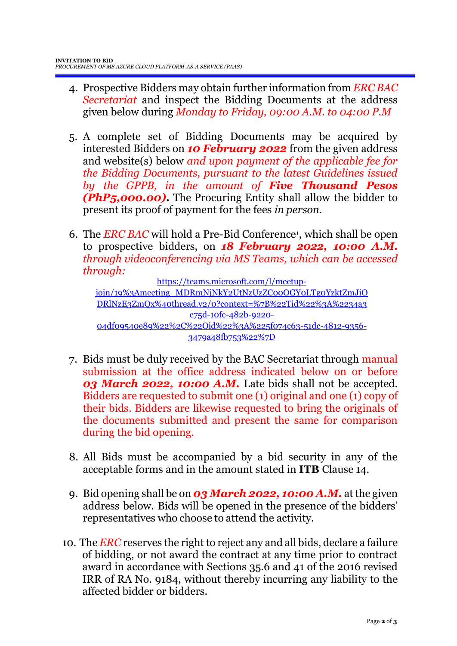- 4. Prospective Bidders may obtain further information from *ERC BAC Secretariat* and inspect the Bidding Documents at the address given below during *Monday to Friday, 09:00 A.M. to 04:00 P.M*
- 5. A complete set of Bidding Documents may be acquired by interested Bidders on *10 February 2022* from the given address and website(s) below *and upon payment of the applicable fee for the Bidding Documents, pursuant to the latest Guidelines issued by the GPPB, in the amount of Five Thousand Pesos (PhP5,000.00)***.** The Procuring Entity shall allow the bidder to present its proof of payment for the fees *in person.*
- 6. The *ERC BAC* will hold a Pre-Bid Conference<sup>1</sup> , which shall be open to prospective bidders, on *18 February 2022, 10:00 A.M. through videoconferencing via MS Teams, which can be accessed through:*

[https://teams.microsoft.com/l/meetup](https://teams.microsoft.com/l/meetup-join/19%3Ameeting_MDRmNjNkY2UtNzUzZC00OGY0LTg0YzktZmJiODRlNzE3ZmQx%40thread.v2/0?context=%7B%22Tid%22%3A%2234a3c75d-10fe-482b-9220-04df09540e89%22%2C%22Oid%22%3A%225f074c63-51dc-4812-9356-3479a48fb753%22%7D)[join/19%3Ameeting\\_MDRmNjNkY2UtNzUzZC00OGY0LTg0YzktZmJiO](https://teams.microsoft.com/l/meetup-join/19%3Ameeting_MDRmNjNkY2UtNzUzZC00OGY0LTg0YzktZmJiODRlNzE3ZmQx%40thread.v2/0?context=%7B%22Tid%22%3A%2234a3c75d-10fe-482b-9220-04df09540e89%22%2C%22Oid%22%3A%225f074c63-51dc-4812-9356-3479a48fb753%22%7D) [DRlNzE3ZmQx%40thread.v2/0?context=%7B%22Tid%22%3A%2234a3](https://teams.microsoft.com/l/meetup-join/19%3Ameeting_MDRmNjNkY2UtNzUzZC00OGY0LTg0YzktZmJiODRlNzE3ZmQx%40thread.v2/0?context=%7B%22Tid%22%3A%2234a3c75d-10fe-482b-9220-04df09540e89%22%2C%22Oid%22%3A%225f074c63-51dc-4812-9356-3479a48fb753%22%7D) [c75d-10fe-482b-9220-](https://teams.microsoft.com/l/meetup-join/19%3Ameeting_MDRmNjNkY2UtNzUzZC00OGY0LTg0YzktZmJiODRlNzE3ZmQx%40thread.v2/0?context=%7B%22Tid%22%3A%2234a3c75d-10fe-482b-9220-04df09540e89%22%2C%22Oid%22%3A%225f074c63-51dc-4812-9356-3479a48fb753%22%7D) [04df09540e89%22%2C%22Oid%22%3A%225f074c63-51dc-4812-9356-](https://teams.microsoft.com/l/meetup-join/19%3Ameeting_MDRmNjNkY2UtNzUzZC00OGY0LTg0YzktZmJiODRlNzE3ZmQx%40thread.v2/0?context=%7B%22Tid%22%3A%2234a3c75d-10fe-482b-9220-04df09540e89%22%2C%22Oid%22%3A%225f074c63-51dc-4812-9356-3479a48fb753%22%7D) [3479a48fb753%22%7D](https://teams.microsoft.com/l/meetup-join/19%3Ameeting_MDRmNjNkY2UtNzUzZC00OGY0LTg0YzktZmJiODRlNzE3ZmQx%40thread.v2/0?context=%7B%22Tid%22%3A%2234a3c75d-10fe-482b-9220-04df09540e89%22%2C%22Oid%22%3A%225f074c63-51dc-4812-9356-3479a48fb753%22%7D)

- 7. Bids must be duly received by the BAC Secretariat through manual submission at the office address indicated below on or before *03 March 2022, 10:00 A.M.* Late bids shall not be accepted. Bidders are requested to submit one (1) original and one (1) copy of their bids. Bidders are likewise requested to bring the originals of the documents submitted and present the same for comparison during the bid opening.
- 8. All Bids must be accompanied by a bid security in any of the acceptable forms and in the amount stated in **ITB** Clause 14.
- 9. Bid opening shall be on *03 March 2022, 10:00 A.M.* at the given address below. Bids will be opened in the presence of the bidders' representatives who choose to attend the activity.
- 10. The *ERC* reserves the right to reject any and all bids, declare a failure of bidding, or not award the contract at any time prior to contract award in accordance with Sections 35.6 and 41 of the 2016 revised IRR of RA No. 9184, without thereby incurring any liability to the affected bidder or bidders.